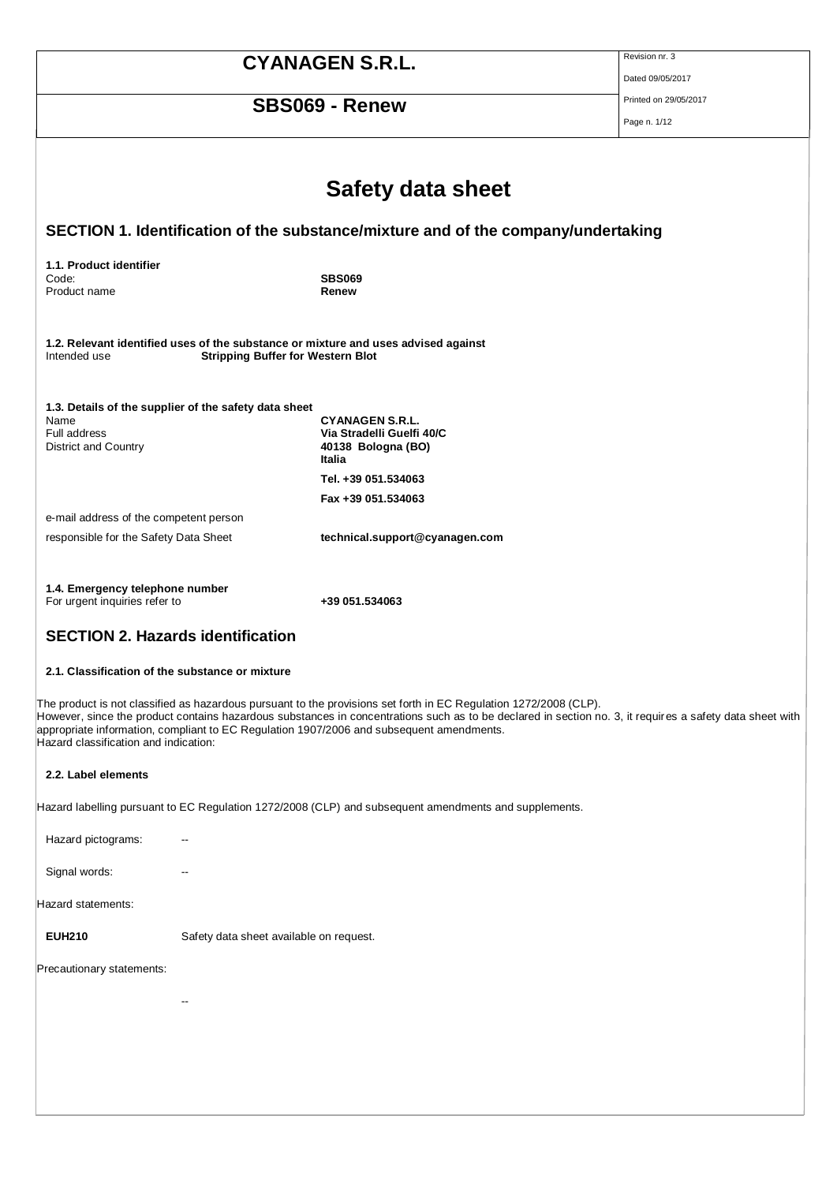| <b>CYANAGEN S.R.L.</b><br><b>SBS069 - Renew</b>                  |                                                       |                                                                                                                                                                                                               | Revision nr. 3<br>Dated 09/05/2017                                                                                                                       |
|------------------------------------------------------------------|-------------------------------------------------------|---------------------------------------------------------------------------------------------------------------------------------------------------------------------------------------------------------------|----------------------------------------------------------------------------------------------------------------------------------------------------------|
|                                                                  |                                                       |                                                                                                                                                                                                               | Printed on 29/05/2017<br>Page n. 1/12                                                                                                                    |
|                                                                  |                                                       |                                                                                                                                                                                                               |                                                                                                                                                          |
|                                                                  |                                                       | <b>Safety data sheet</b>                                                                                                                                                                                      |                                                                                                                                                          |
|                                                                  |                                                       | SECTION 1. Identification of the substance/mixture and of the company/undertaking                                                                                                                             |                                                                                                                                                          |
| 1.1. Product identifier<br>Code:                                 |                                                       | <b>SBS069</b>                                                                                                                                                                                                 |                                                                                                                                                          |
| Product name                                                     |                                                       | Renew                                                                                                                                                                                                         |                                                                                                                                                          |
| Intended use                                                     | <b>Stripping Buffer for Western Blot</b>              | 1.2. Relevant identified uses of the substance or mixture and uses advised against                                                                                                                            |                                                                                                                                                          |
|                                                                  | 1.3. Details of the supplier of the safety data sheet |                                                                                                                                                                                                               |                                                                                                                                                          |
| Name<br>Full address<br><b>District and Country</b>              |                                                       | <b>CYANAGEN S.R.L.</b><br>Via Stradelli Guelfi 40/C<br>40138 Bologna (BO)<br>Italia                                                                                                                           |                                                                                                                                                          |
|                                                                  |                                                       | Tel. +39 051.534063                                                                                                                                                                                           |                                                                                                                                                          |
| e-mail address of the competent person                           |                                                       | Fax +39 051.534063                                                                                                                                                                                            |                                                                                                                                                          |
| responsible for the Safety Data Sheet                            |                                                       | technical.support@cyanagen.com                                                                                                                                                                                |                                                                                                                                                          |
|                                                                  |                                                       |                                                                                                                                                                                                               |                                                                                                                                                          |
| 1.4. Emergency telephone number<br>For urgent inquiries refer to |                                                       | +39 051.534063                                                                                                                                                                                                |                                                                                                                                                          |
|                                                                  | <b>SECTION 2. Hazards identification</b>              |                                                                                                                                                                                                               |                                                                                                                                                          |
|                                                                  | 2.1. Classification of the substance or mixture       |                                                                                                                                                                                                               |                                                                                                                                                          |
| Hazard classification and indication:                            |                                                       | The product is not classified as hazardous pursuant to the provisions set forth in EC Regulation 1272/2008 (CLP).<br>appropriate information, compliant to EC Regulation 1907/2006 and subsequent amendments. | However, since the product contains hazardous substances in concentrations such as to be declared in section no. 3, it requires a safety data sheet with |
| 2.2. Label elements                                              |                                                       |                                                                                                                                                                                                               |                                                                                                                                                          |
|                                                                  |                                                       | Hazard labelling pursuant to EC Regulation 1272/2008 (CLP) and subsequent amendments and supplements.                                                                                                         |                                                                                                                                                          |
| Hazard pictograms:                                               |                                                       |                                                                                                                                                                                                               |                                                                                                                                                          |
| Signal words:                                                    |                                                       |                                                                                                                                                                                                               |                                                                                                                                                          |
| Hazard statements:                                               |                                                       |                                                                                                                                                                                                               |                                                                                                                                                          |
| <b>EUH210</b>                                                    | Safety data sheet available on request.               |                                                                                                                                                                                                               |                                                                                                                                                          |
| Precautionary statements:                                        |                                                       |                                                                                                                                                                                                               |                                                                                                                                                          |
|                                                                  |                                                       |                                                                                                                                                                                                               |                                                                                                                                                          |
|                                                                  |                                                       |                                                                                                                                                                                                               |                                                                                                                                                          |
|                                                                  |                                                       |                                                                                                                                                                                                               |                                                                                                                                                          |
|                                                                  |                                                       |                                                                                                                                                                                                               |                                                                                                                                                          |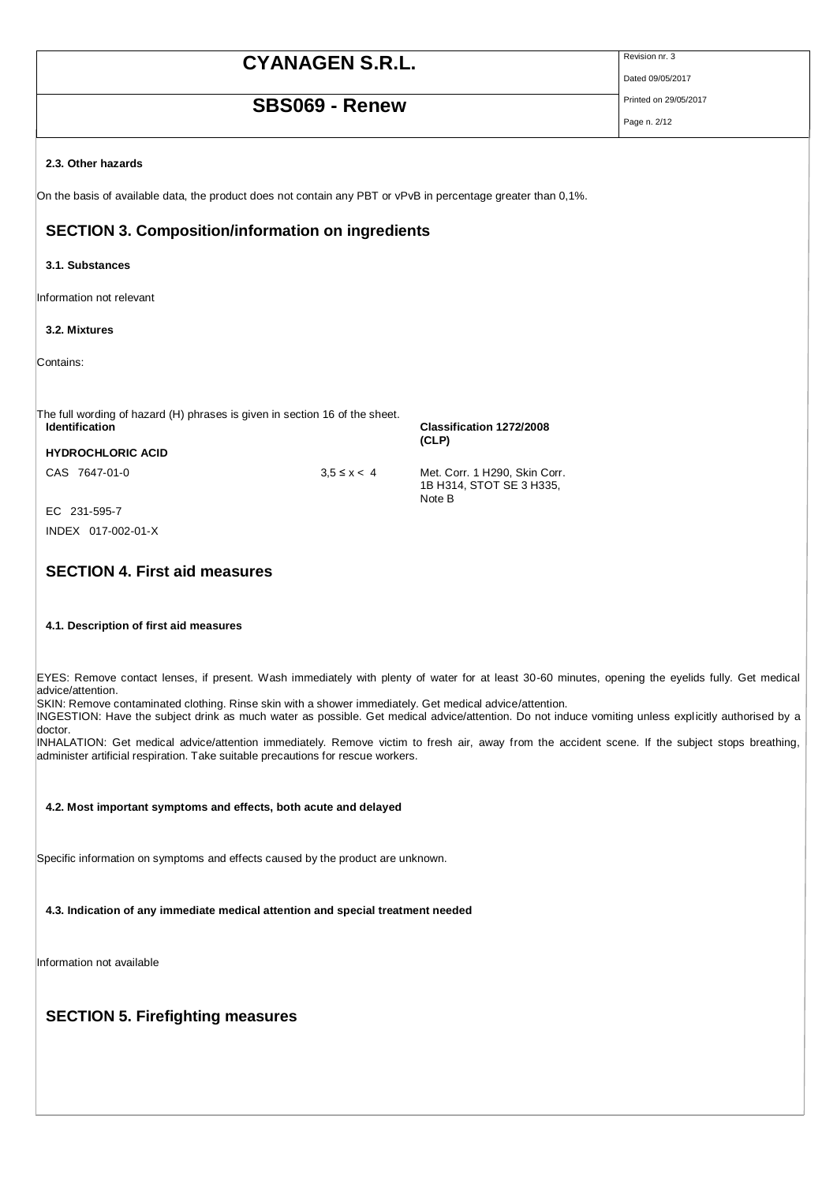### **SBS069 - Renew** Printed on 29/05/2017

Dated 09/05/2017

Page n. 2/12

#### **2.3. Other hazards**

On the basis of available data, the product does not contain any PBT or vPvB in percentage greater than 0,1%.

### **SECTION 3. Composition/information on ingredients**

#### **3.1. Substances**

Information not relevant

#### **3.2. Mixtures**

Contains:

The full wording of hazard (H) phrases is given in section 16 of the sheet.<br> **Identification** 

**HYDROCHLORIC ACID**

EC 231-595-7 INDEX 017-002-01-X

### **SECTION 4. First aid measures**

#### **4.1. Description of first aid measures**

EYES: Remove contact lenses, if present. Wash immediately with plenty of water for at least 30-60 minutes, opening the eyelids fully. Get medical advice/attention.

SKIN: Remove contaminated clothing. Rinse skin with a shower immediately. Get medical advice/attention.

INGESTION: Have the subject drink as much water as possible. Get medical advice/attention. Do not induce vomiting unless expl icitly authorised by a doctor.

INHALATION: Get medical advice/attention immediately. Remove victim to fresh air, away from the accident scene. If the subject stops breathing, administer artificial respiration. Take suitable precautions for rescue workers.

#### **4.2. Most important symptoms and effects, both acute and delayed**

Specific information on symptoms and effects caused by the product are unknown.

**4.3. Indication of any immediate medical attention and special treatment needed**

Information not available

### **SECTION 5. Firefighting measures**

**(CLP)** CAS 7647-01-0 3,5 ≤ x < 4 Met. Corr. 1 H290, Skin Corr.

**Identification Classification 1272/2008** 

1B H314, STOT SE 3 H335, Note B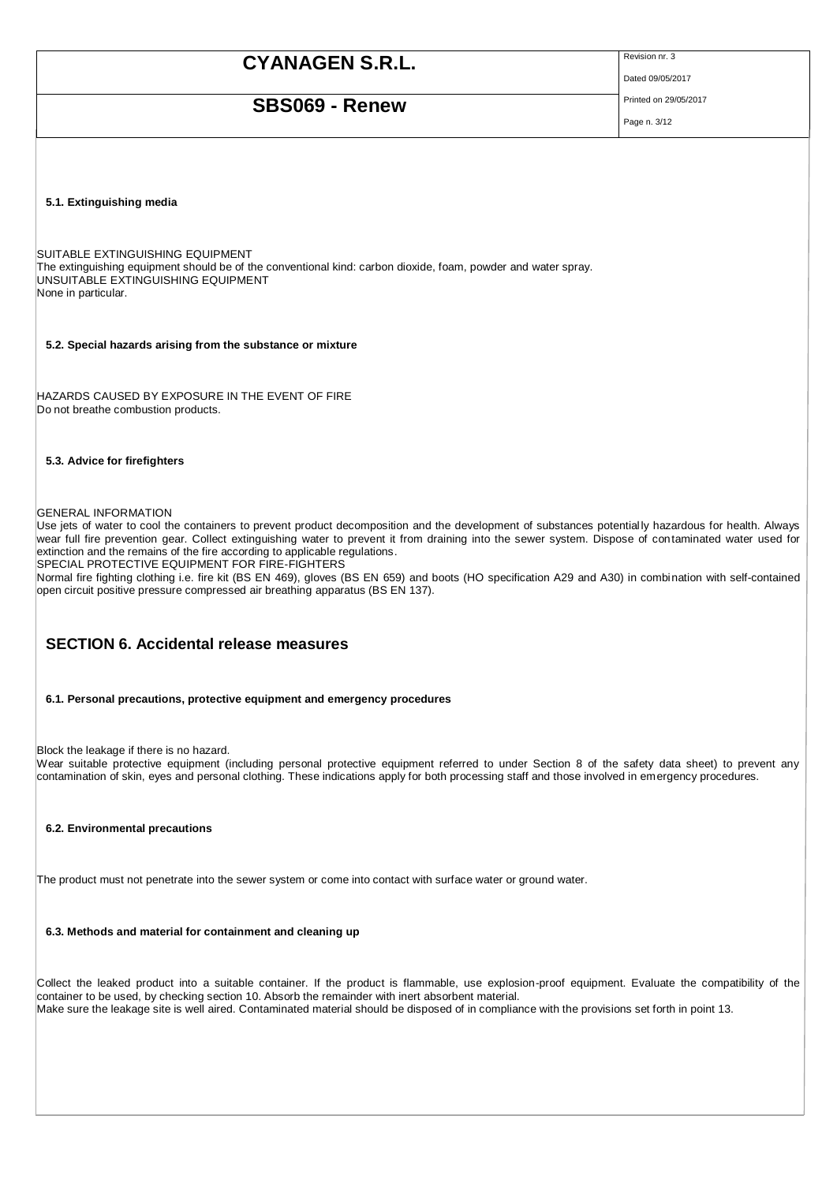### **SBS069 - Renew** Printed on 29/05/2017

Dated 09/05/2017

Page n. 3/12

#### **5.1. Extinguishing media**

SUITABLE EXTINGUISHING EQUIPMENT The extinguishing equipment should be of the conventional kind: carbon dioxide, foam, powder and water spray. UNSUITABLE EXTINGUISHING EQUIPMENT None in particular.

**5.2. Special hazards arising from the substance or mixture**

HAZARDS CAUSED BY EXPOSURE IN THE EVENT OF FIRE Do not breathe combustion products.

#### **5.3. Advice for firefighters**

#### GENERAL INFORMATION

Use jets of water to cool the containers to prevent product decomposition and the development of substances potential ly hazardous for health. Always wear full fire prevention gear. Collect extinguishing water to prevent it from draining into the sewer system. Dispose of contaminated water used for extinction and the remains of the fire according to applicable regulations.

SPECIAL PROTECTIVE EQUIPMENT FOR FIRE-FIGHTERS

Normal fire fighting clothing i.e. fire kit (BS EN 469), gloves (BS EN 659) and boots (HO specification A29 and A30) in combination with self-contained open circuit positive pressure compressed air breathing apparatus (BS EN 137).

### **SECTION 6. Accidental release measures**

#### **6.1. Personal precautions, protective equipment and emergency procedures**

Block the leakage if there is no hazard.

Wear suitable protective equipment (including personal protective equipment referred to under Section 8 of the safety data sheet) to prevent any contamination of skin, eyes and personal clothing. These indications apply for both processing staff and those involved in emergency procedures.

#### **6.2. Environmental precautions**

The product must not penetrate into the sewer system or come into contact with surface water or ground water.

#### **6.3. Methods and material for containment and cleaning up**

Collect the leaked product into a suitable container. If the product is flammable, use explosion-proof equipment. Evaluate the compatibility of the container to be used, by checking section 10. Absorb the remainder with inert absorbent material. Make sure the leakage site is well aired. Contaminated material should be disposed of in compliance with the provisions set forth in point 13.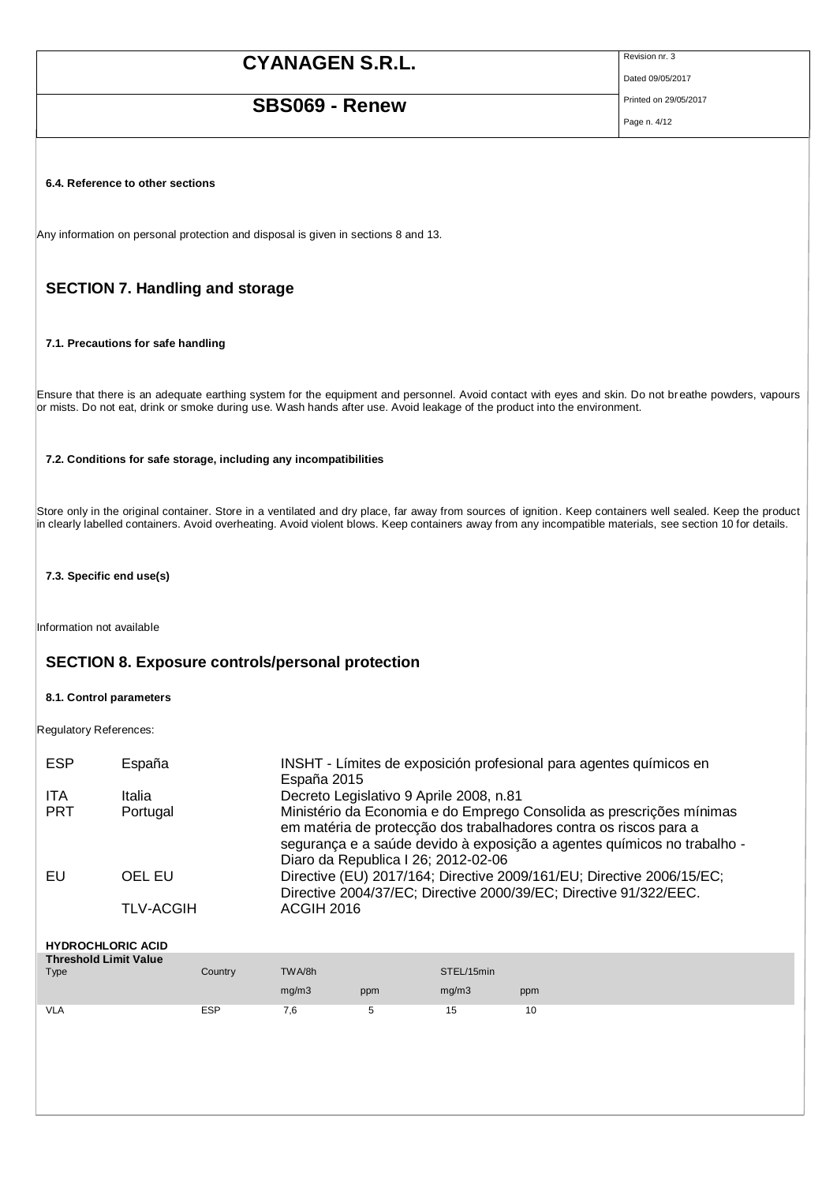## **SBS069 - Renew** Printed on 29/05/2017

Dated 09/05/2017

Page n. 4/12

**6.4. Reference to other sections**

Any information on personal protection and disposal is given in sections 8 and 13.

### **SECTION 7. Handling and storage**

**7.1. Precautions for safe handling**

Ensure that there is an adequate earthing system for the equipment and personnel. Avoid contact with eyes and skin. Do not breathe powders, vapours or mists. Do not eat, drink or smoke during use. Wash hands after use. Avoid leakage of the product into the environment.

#### **7.2. Conditions for safe storage, including any incompatibilities**

Store only in the original container. Store in a ventilated and dry place, far away from sources of ignition. Keep containers well sealed. Keep the product in clearly labelled containers. Avoid overheating. Avoid violent blows. Keep containers away from any incompatible materials, see section 10 for details.

### **7.3. Specific end use(s)**

Information not available

### **SECTION 8. Exposure controls/personal protection**

#### **8.1. Control parameters**

Regulatory References:

| <b>ESP</b> | España           | INSHT - Límites de exposición profesional para agentes químicos en<br>España 2015                                                                                                                                                                           |
|------------|------------------|-------------------------------------------------------------------------------------------------------------------------------------------------------------------------------------------------------------------------------------------------------------|
| ITA        | Italia           | Decreto Legislativo 9 Aprile 2008, n.81                                                                                                                                                                                                                     |
| <b>PRT</b> | Portugal         | Ministério da Economia e do Emprego Consolida as prescrições mínimas<br>em matéria de protecção dos trabalhadores contra os riscos para a<br>segurança e a saúde devido à exposição a agentes químicos no trabalho -<br>Diaro da Republica I 26; 2012-02-06 |
| EU         | OEL EU           | Directive (EU) 2017/164; Directive 2009/161/EU; Directive 2006/15/EC;<br>Directive 2004/37/EC; Directive 2000/39/EC; Directive 91/322/EEC.                                                                                                                  |
|            | <b>TLV-ACGIH</b> | <b>ACGIH 2016</b>                                                                                                                                                                                                                                           |

| <b>HYDROCHLORIC ACID</b>     |         |        |     |            |     |
|------------------------------|---------|--------|-----|------------|-----|
| <b>Threshold Limit Value</b> |         |        |     |            |     |
| Type                         | Country | TWA/8h |     | STEL/15min |     |
|                              |         | mg/m3  | ppm | mg/m3      | ppm |
|                              |         |        |     |            |     |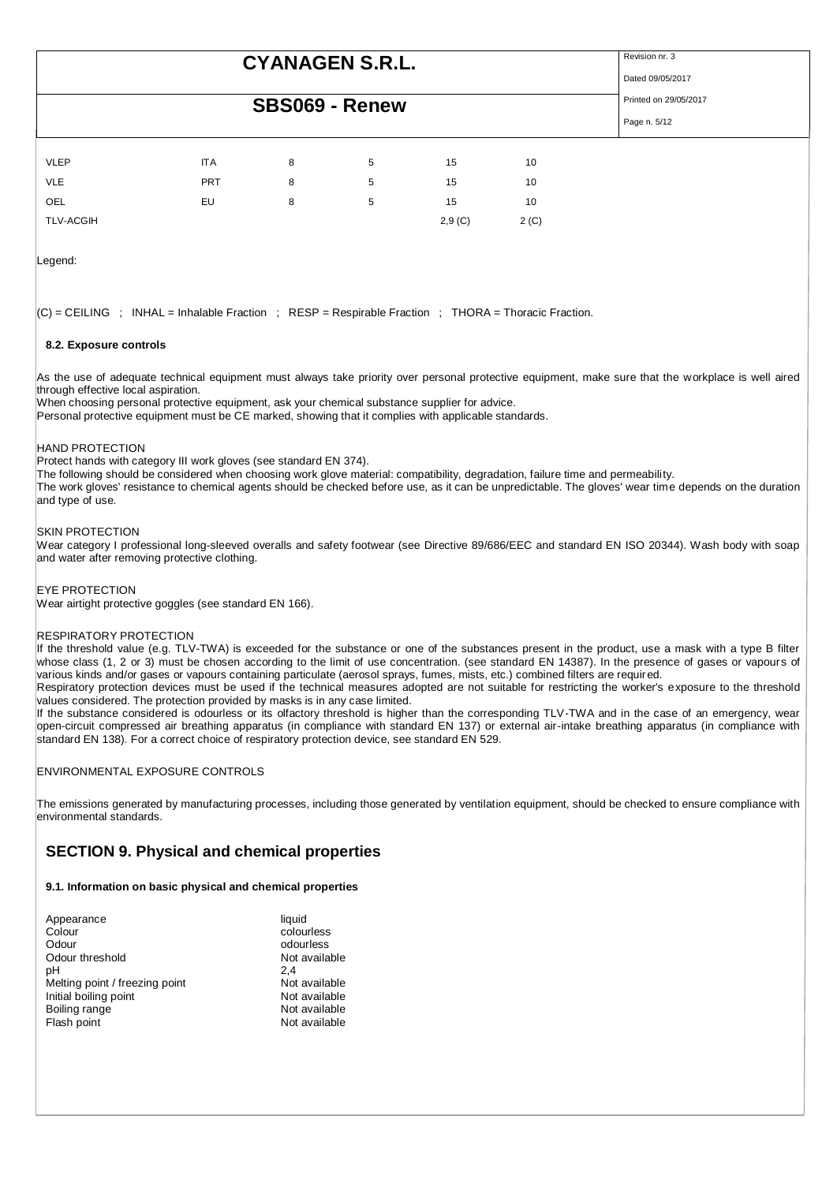### **SBS069 - Renew** Printed on 29/05/2017

Dated 09/05/2017

Page n. 5/12

|             |            | ---- | -------- |    |    |
|-------------|------------|------|----------|----|----|
|             |            |      |          |    |    |
|             |            |      |          |    |    |
| <b>VLEP</b> | <b>ITA</b> | 8    | 5        | 15 | 10 |
| VLE         | <b>PRT</b> | 8    | 5        | 15 | 10 |
| OEL         | EU         | 8    | 5        | 15 | 10 |

Legend:

 $|C|$  = CEILING : INHAL = Inhalable Fraction : RESP = Respirable Fraction : THORA = Thoracic Fraction.

TLV-ACGIH 2,9 (C) 2 (C)

#### **8.2. Exposure controls**

As the use of adequate technical equipment must always take priority over personal protective equipment, make sure that the workplace is well aired through effective local aspiration.

When choosing personal protective equipment, ask your chemical substance supplier for advice.

Personal protective equipment must be CE marked, showing that it complies with applicable standards.

#### HAND PROTECTION

Protect hands with category III work gloves (see standard EN 374).

The following should be considered when choosing work glove material: compatibility, degradation, failure time and permeability.

The work gloves' resistance to chemical agents should be checked before use, as it can be unpredictable. The gloves' wear time depends on the duration and type of use.

#### SKIN PROTECTION

Wear category I professional long-sleeved overalls and safety footwear (see Directive 89/686/EEC and standard EN ISO 20344). Wash body with soap and water after removing protective clothing.

#### EYE PROTECTION

Wear airtight protective goggles (see standard EN 166).

#### RESPIRATORY PROTECTION

If the threshold value (e.g. TLV-TWA) is exceeded for the substance or one of the substances present in the product, use a mask with a type B filter whose class (1, 2 or 3) must be chosen according to the limit of use concentration. (see standard EN 14387). In the presence of gases or vapours of various kinds and/or gases or vapours containing particulate (aerosol sprays, fumes, mists, etc.) combined filters are required.

Respiratory protection devices must be used if the technical measures adopted are not suitable for restricting the worker's exposure to the threshold values considered. The protection provided by masks is in any case limited.

If the substance considered is odourless or its olfactory threshold is higher than the corresponding TLV-TWA and in the case of an emergency, wear open-circuit compressed air breathing apparatus (in compliance with standard EN 137) or external air-intake breathing apparatus (in compliance with standard EN 138). For a correct choice of respiratory protection device, see standard EN 529.

#### ENVIRONMENTAL EXPOSURE CONTROLS

The emissions generated by manufacturing processes, including those generated by ventilation equipment, should be checked to ensure compliance with environmental standards.

### **SECTION 9. Physical and chemical properties**

### **9.1. Information on basic physical and chemical properties**

| Appearance                     | liquid        |
|--------------------------------|---------------|
| Colour                         | colourless    |
| Odour                          | odourless     |
| Odour threshold                | Not available |
| рH                             | 2.4           |
| Melting point / freezing point | Not available |
| Initial boiling point          | Not available |
| Boiling range                  | Not available |
| Flash point                    | Not available |
|                                |               |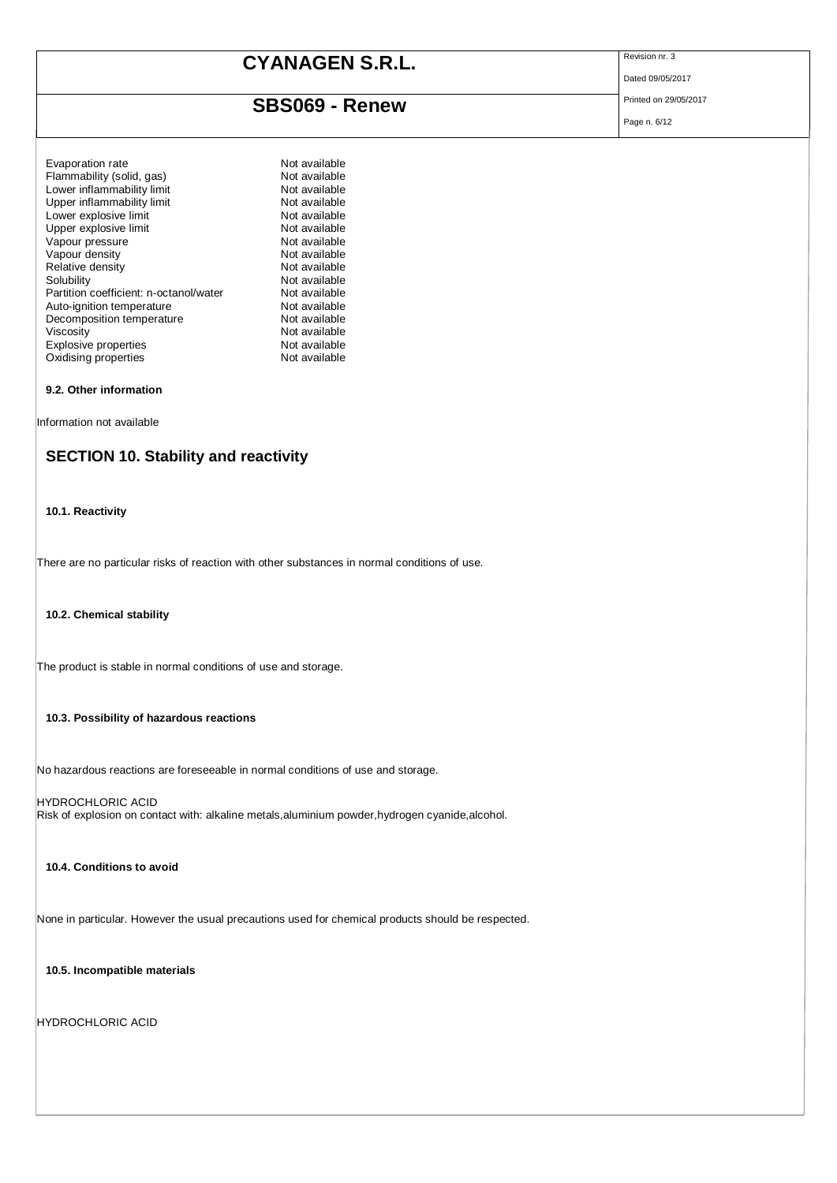### **SBS069 - Renew** Printed on 29/05/2017

Dated 09/05/2017

Page n. 6/12

#### **9.2. Other information**

Information not available

### **SECTION 10. Stability and reactivity**

#### **10.1. Reactivity**

There are no particular risks of reaction with other substances in normal conditions of use.

#### **10.2. Chemical stability**

The product is stable in normal conditions of use and storage.

#### **10.3. Possibility of hazardous reactions**

No hazardous reactions are foreseeable in normal conditions of use and storage.

HYDROCHLORIC ACID Risk of explosion on contact with: alkaline metals,aluminium powder,hydrogen cyanide,alcohol.

#### **10.4. Conditions to avoid**

None in particular. However the usual precautions used for chemical products should be respected.

**10.5. Incompatible materials**

HYDROCHLORIC ACID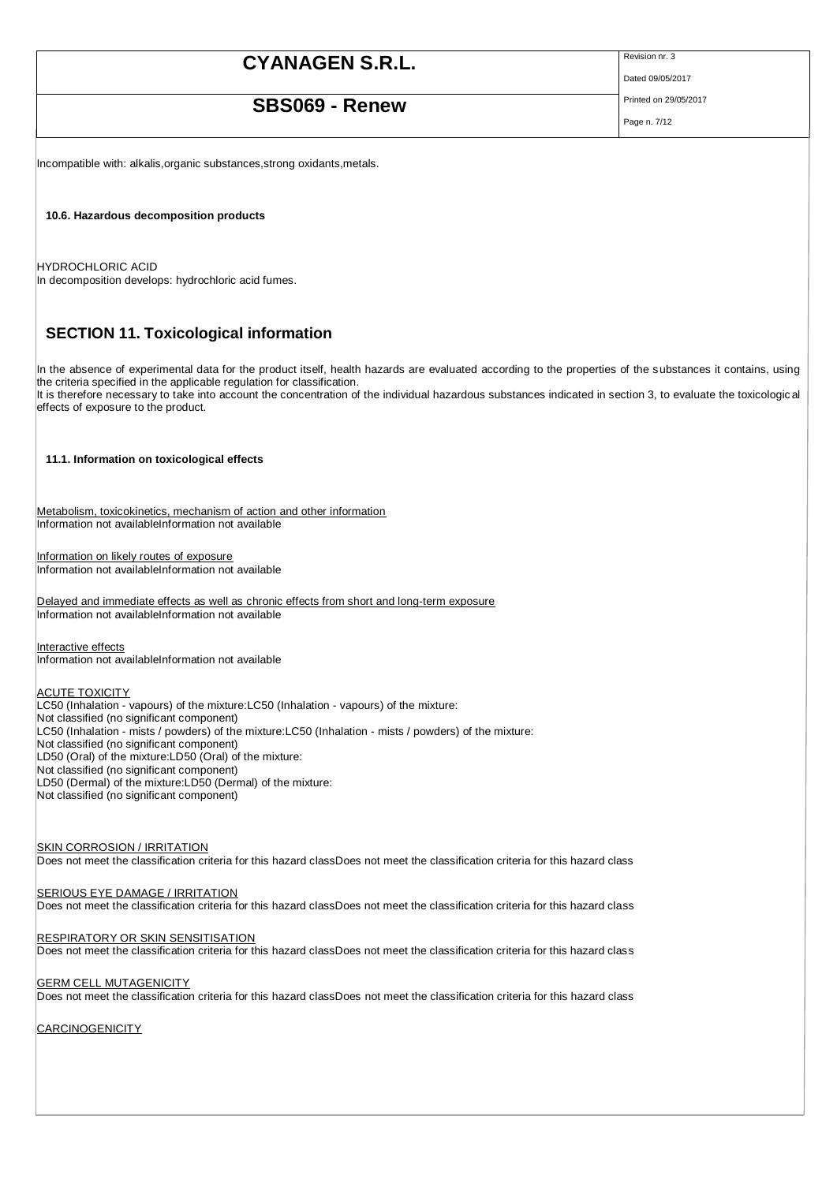### **SBS069 - Renew** Printed on 29/05/2017

Dated 09/05/2017

Page n. 7/12

Incompatible with: alkalis,organic substances,strong oxidants,metals.

**10.6. Hazardous decomposition products**

HYDROCHLORIC ACID In decomposition develops: hydrochloric acid fumes.

### **SECTION 11. Toxicological information**

In the absence of experimental data for the product itself, health hazards are evaluated according to the properties of the substances it contains, using the criteria specified in the applicable regulation for classification.

It is therefore necessary to take into account the concentration of the individual hazardous substances indicated in section 3, to evaluate the toxicologic al effects of exposure to the product.

#### **11.1. Information on toxicological effects**

Metabolism, toxicokinetics, mechanism of action and other information Information not availableInformation not available

Information on likely routes of exposure Information not availableInformation not available

Delayed and immediate effects as well as chronic effects from short and long-term exposure Information not availableInformation not available

Interactive effects Information not availableInformation not available

#### **ACUTE TOXICITY**

LC50 (Inhalation - vapours) of the mixture:LC50 (Inhalation - vapours) of the mixture: Not classified (no significant component) LC50 (Inhalation - mists / powders) of the mixture: LC50 (Inhalation - mists / powders) of the mixture: Not classified (no significant component) LD50 (Oral) of the mixture:LD50 (Oral) of the mixture: Not classified (no significant component) LD50 (Dermal) of the mixture:LD50 (Dermal) of the mixture: Not classified (no significant component)

SKIN CORROSION / IRRITATION Does not meet the classification criteria for this hazard classDoes not meet the classification criteria for this hazard class

#### SERIOUS EYE DAMAGE / IRRITATION

Does not meet the classification criteria for this hazard classDoes not meet the classification criteria for this hazard class

#### **RESPIRATORY OR SKIN SENSITISATION**

Does not meet the classification criteria for this hazard classDoes not meet the classification criteria for this hazard class

#### GERM CELL MUTAGENICITY

Does not meet the classification criteria for this hazard classDoes not meet the classification criteria for this hazard class

CARCINOGENICITY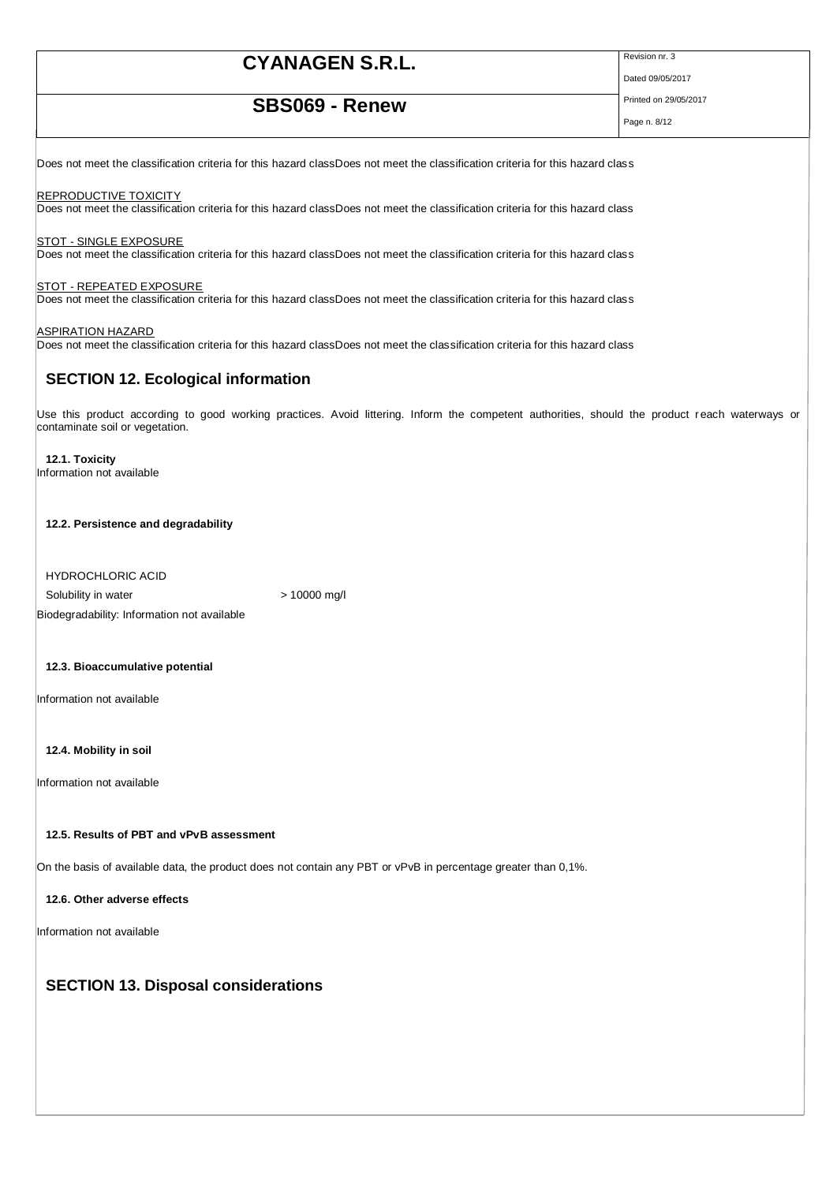### **SBS069 - Renew** Printed on 29/05/2017

Dated 09/05/2017

Page n. 8/12

Does not meet the classification criteria for this hazard classDoes not meet the classification criteria for this hazard class

**REPRODUCTIVE TOXICITY** Does not meet the classification criteria for this hazard classDoes not meet the classification criteria for this hazard class

STOT - SINGLE EXPOSURE Does not meet the classification criteria for this hazard classDoes not meet the classification criteria for this hazard class

**STOT - REPEATED EXPOSURE** Does not meet the classification criteria for this hazard classDoes not meet the classification criteria for this hazard class

ASPIRATION HAZARD Does not meet the classification criteria for this hazard classDoes not meet the classification criteria for this hazard class

### **SECTION 12. Ecological information**

Use this product according to good working practices. Avoid littering. Inform the competent authorities, should the product reach waterways or contaminate soil or vegetation.

**12.1. Toxicity** Information not available

**12.2. Persistence and degradability**

HYDROCHLORIC ACID Solubility in water  $> 10000$  mg/l Biodegradability: Information not available

**12.3. Bioaccumulative potential**

Information not available

**12.4. Mobility in soil**

Information not available

#### **12.5. Results of PBT and vPvB assessment**

On the basis of available data, the product does not contain any PBT or vPvB in percentage greater than 0,1%.

**12.6. Other adverse effects**

Information not available

### **SECTION 13. Disposal considerations**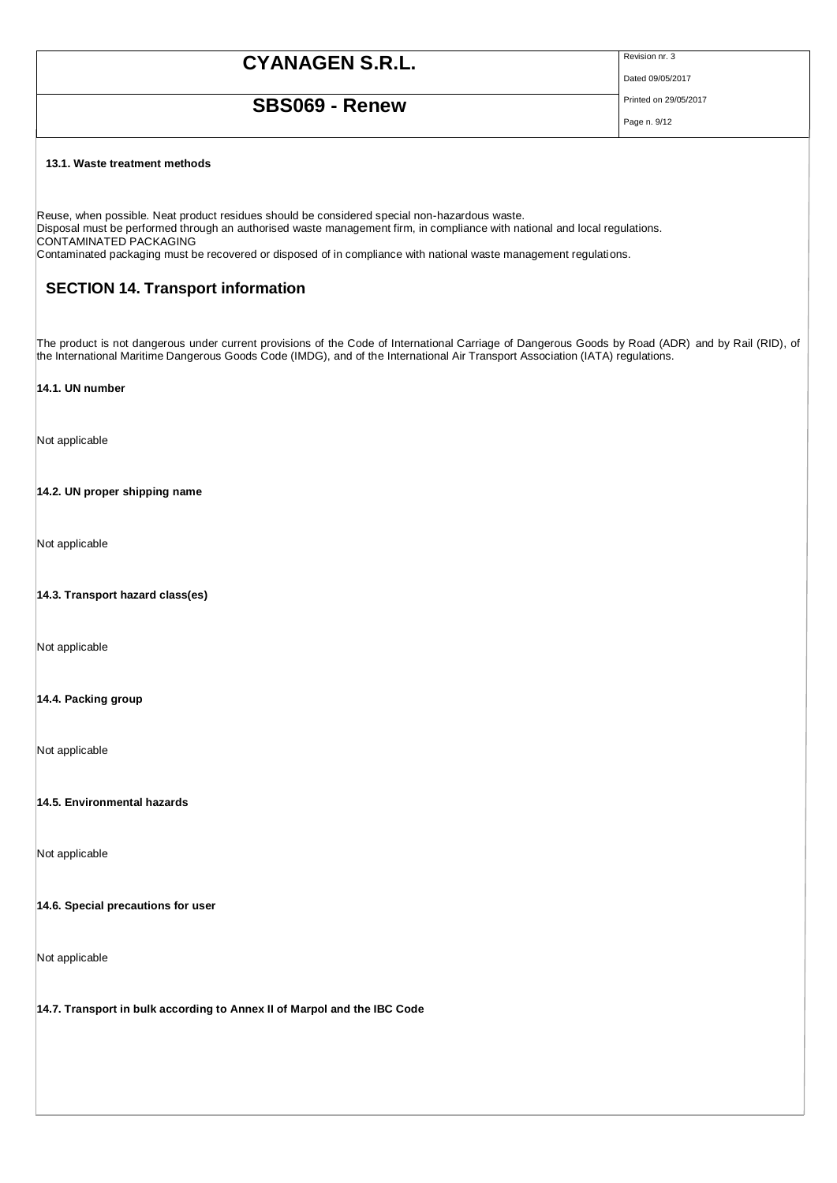Dated 09/05/2017

## **SBS069 - Renew** Printed on 29/05/2017

Page n. 9/12

#### **13.1. Waste treatment methods**

Reuse, when possible. Neat product residues should be considered special non-hazardous waste. Disposal must be performed through an authorised waste management firm, in compliance with national and local regulations. CONTAMINATED PACKAGING Contaminated packaging must be recovered or disposed of in compliance with national waste management regulations.

### **SECTION 14. Transport information**

The product is not dangerous under current provisions of the Code of International Carriage of Dangerous Goods by Road (ADR) and by Rail (RID), of the International Maritime Dangerous Goods Code (IMDG), and of the International Air Transport Association (IATA) regulations.

#### **14.1. UN number**

Not applicable

**14.2. UN proper shipping name**

Not applicable

**14.3. Transport hazard class(es)**

Not applicable

#### **14.4. Packing group**

Not applicable

**14.5. Environmental hazards**

Not applicable

#### **14.6. Special precautions for user**

Not applicable

**14.7. Transport in bulk according to Annex II of Marpol and the IBC Code**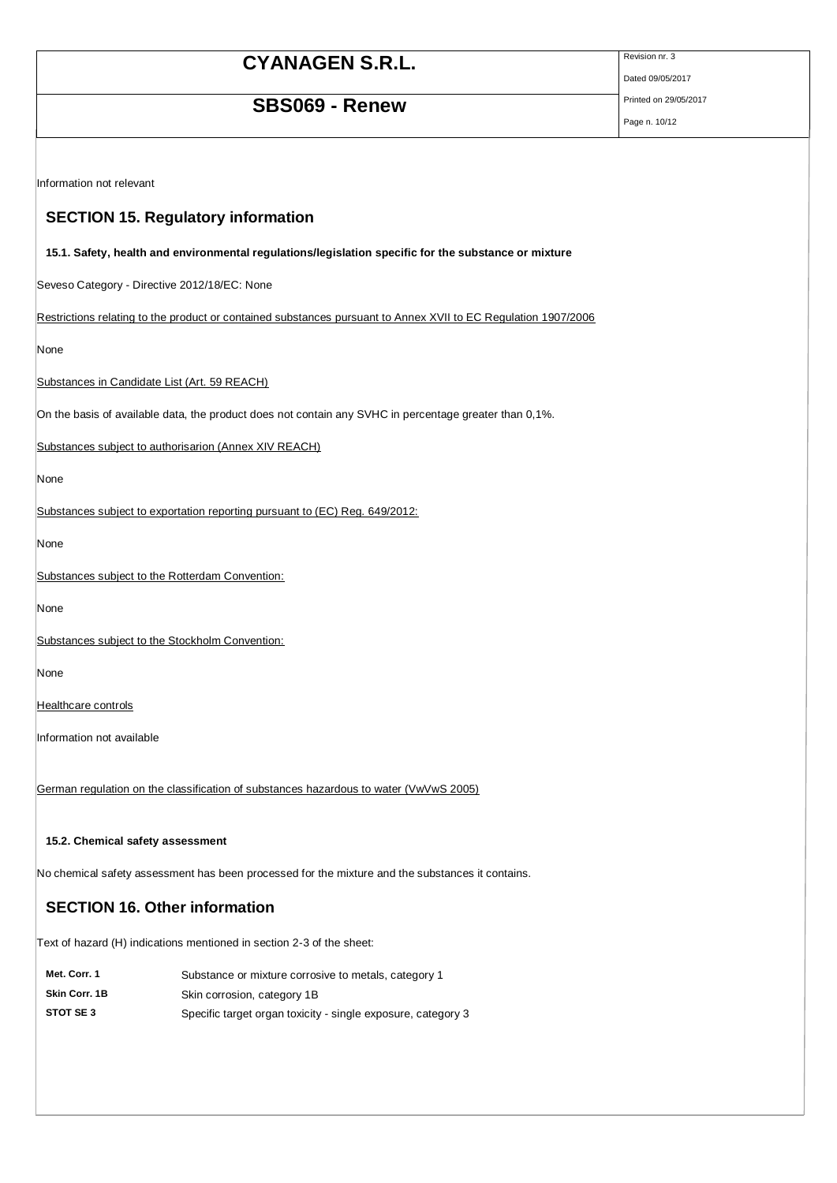## **SBS069 - Renew** Printed on 29/05/2017

Dated 09/05/2017

Page n. 10/12

Information not relevant

### **SECTION 15. Regulatory information**

#### **15.1. Safety, health and environmental regulations/legislation specific for the substance or mixture**

Seveso Category - Directive 2012/18/EC: None

Restrictions relating to the product or contained substances pursuant to Annex XVII to EC Regulation 1907/2006

None

Substances in Candidate List (Art. 59 REACH)

On the basis of available data, the product does not contain any SVHC in percentage greater than 0,1%.

Substances subject to authorisarion (Annex XIV REACH)

None

Substances subject to exportation reporting pursuant to (EC) Reg. 649/2012:

None

Substances subject to the Rotterdam Convention:

None

Substances subject to the Stockholm Convention:

None

**Healthcare controls** 

Information not available

German regulation on the classification of substances hazardous to water (VwVwS 2005)

**15.2. Chemical safety assessment**

No chemical safety assessment has been processed for the mixture and the substances it contains.

### **SECTION 16. Other information**

Text of hazard (H) indications mentioned in section 2-3 of the sheet:

| Met. Corr. 1  | Substance or mixture corrosive to metals, category 1         |
|---------------|--------------------------------------------------------------|
| Skin Corr, 1B | Skin corrosion, category 1B                                  |
| STOT SE 3     | Specific target organ toxicity - single exposure, category 3 |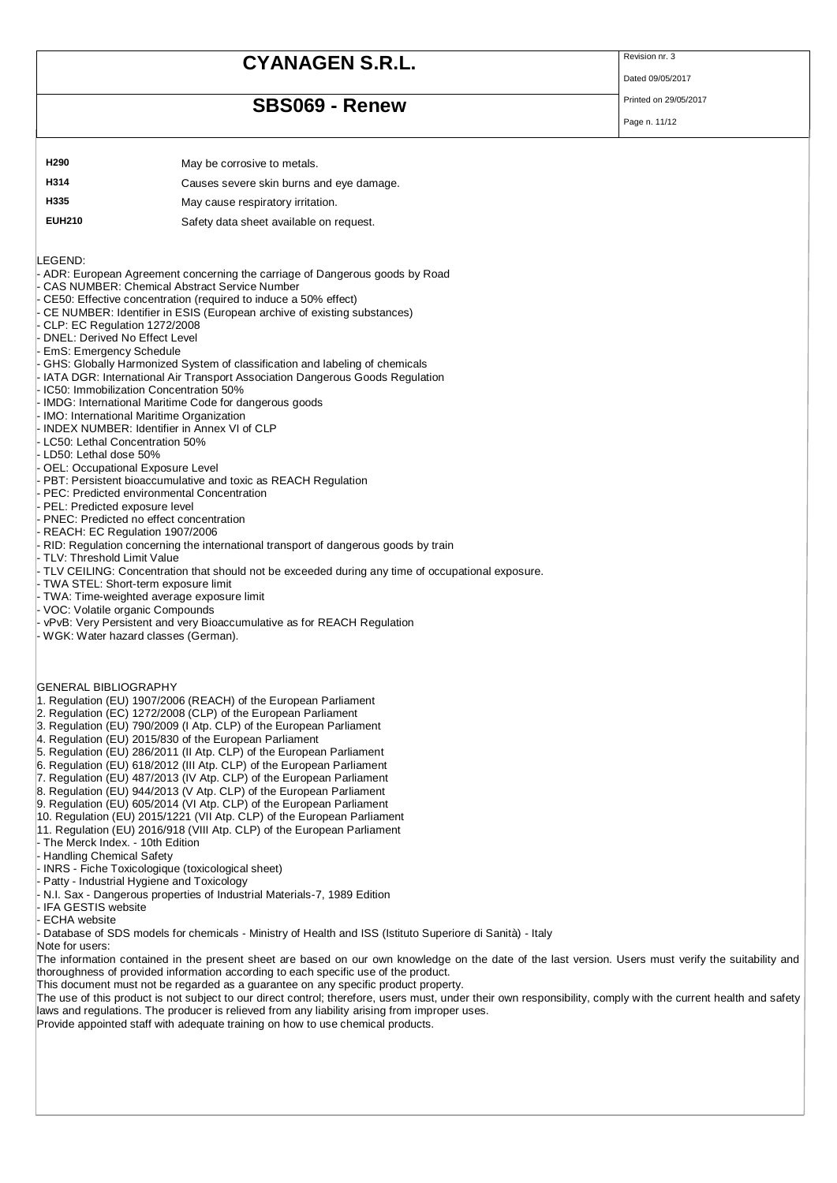## **SBS069 - Renew** Printed on 29/05/2017

Dated 09/05/2017

Page n. 11/12

**H290** May be corrosive to metals. **H314** Causes severe skin burns and eye damage. **H335** May cause respiratory irritation. **EUH210** Safety data sheet available on request.

LEGEND:

- ADR: European Agreement concerning the carriage of Dangerous goods by Road

- CAS NUMBER: Chemical Abstract Service Number
- CE50: Effective concentration (required to induce a 50% effect)
- CE NUMBER: Identifier in ESIS (European archive of existing substances)
- CLP: EC Regulation 1272/2008
- DNEL: Derived No Effect Level
- EmS: Emergency Schedule
- GHS: Globally Harmonized System of classification and labeling of chemicals
- IATA DGR: International Air Transport Association Dangerous Goods Regulation
- IC50: Immobilization Concentration 50%
- IMDG: International Maritime Code for dangerous goods
- IMO: International Maritime Organization
- INDEX NUMBER: Identifier in Annex VI of CLP
- LC50: Lethal Concentration 50%
- LD50: Lethal dose 50%
- OEL: Occupational Exposure Level
- PBT: Persistent bioaccumulative and toxic as REACH Regulation
- PEC: Predicted environmental Concentration
- PEL: Predicted exposure level
- PNEC: Predicted no effect concentration
- REACH: EC Regulation 1907/2006
- RID: Regulation concerning the international transport of dangerous goods by train
- TLV: Threshold Limit Value
- TLV CEILING: Concentration that should not be exceeded during any time of occupational exposure.
- TWA STEL: Short-term exposure limit
- TWA: Time-weighted average exposure limit
- VOC: Volatile organic Compounds
- vPvB: Very Persistent and very Bioaccumulative as for REACH Regulation
- WGK: Water hazard classes (German).
- GENERAL BIBLIOGRAPHY
- 1. Regulation (EU) 1907/2006 (REACH) of the European Parliament
- 2. Regulation (EC) 1272/2008 (CLP) of the European Parliament
- 3. Regulation (EU) 790/2009 (I Atp. CLP) of the European Parliament
- 4. Regulation (EU) 2015/830 of the European Parliament
- 5. Regulation (EU) 286/2011 (II Atp. CLP) of the European Parliament
- 6. Regulation (EU) 618/2012 (III Atp. CLP) of the European Parliament
- 7. Regulation (EU) 487/2013 (IV Atp. CLP) of the European Parliament
- 8. Regulation (EU) 944/2013 (V Atp. CLP) of the European Parliament
- 9. Regulation (EU) 605/2014 (VI Atp. CLP) of the European Parliament
- 10. Regulation (EU) 2015/1221 (VII Atp. CLP) of the European Parliament
- 11. Regulation (EU) 2016/918 (VIII Atp. CLP) of the European Parliament
- The Merck Index. 10th Edition
- Handling Chemical Safety
- INRS Fiche Toxicologique (toxicological sheet)
- Patty Industrial Hygiene and Toxicology
- N.I. Sax Dangerous properties of Industrial Materials-7, 1989 Edition
- IFA GESTIS website
- ECHA website

- Database of SDS models for chemicals - Ministry of Health and ISS (Istituto Superiore di Sanità) - Italy

Note for users:

The information contained in the present sheet are based on our own knowledge on the date of the last version. Users must verify the suitability and thoroughness of provided information according to each specific use of the product.

This document must not be regarded as a guarantee on any specific product property.

The use of this product is not subject to our direct control; therefore, users must, under their own responsibility, comply with the current health and safety laws and regulations. The producer is relieved from any liability arising from improper uses.

Provide appointed staff with adequate training on how to use chemical products.